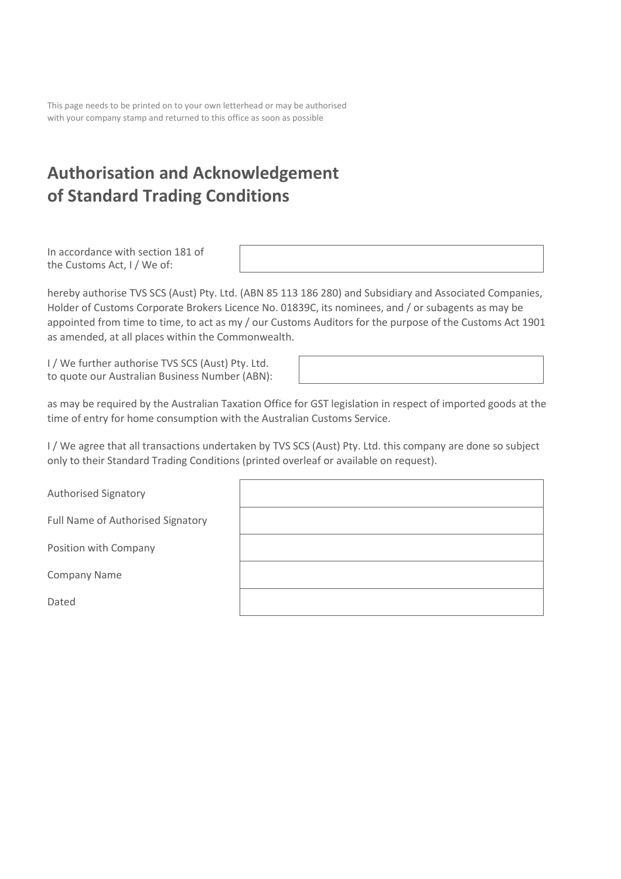This page needs to be printed on to your own letterhead or may be authorised with your company stamp and returned to this office as soon as possible

# **Authorisation and Acknowledgement of Standard Trading Conditions**

In accordance with section 181 of the Customs Act, I / We of:

hereby authorise TVS SCS (Aust) Pty. Ltd. (ABN 85 113 186 280) and Subsidiary and Associated Companies, Holder of Customs Corporate Brokers Licence No. 01839C, its nominees, and / or subagents as may be appointed from time to time, to act as my / our Customs Auditors for the purpose of the Customs Act 1901 as amended, at all places within the Commonwealth.

I / We further authorise TVS SCS (Aust) Pty. Ltd. to quote our Australian Business Number (ABN):

as may be required by the Australian Taxation Office for GST legislation in respect of imported goods at the time of entry for home consumption with the Australian Customs Service.

I / We agree that all transactions undertaken by TVS SCS (Aust) Pty. Ltd. this company are done so subject only to their Standard Trading Conditions (printed overleaf or available on request).

| <b>Authorised Signatory</b>       |  |
|-----------------------------------|--|
| Full Name of Authorised Signatory |  |
| Position with Company             |  |
| <b>Company Name</b>               |  |
| Dated                             |  |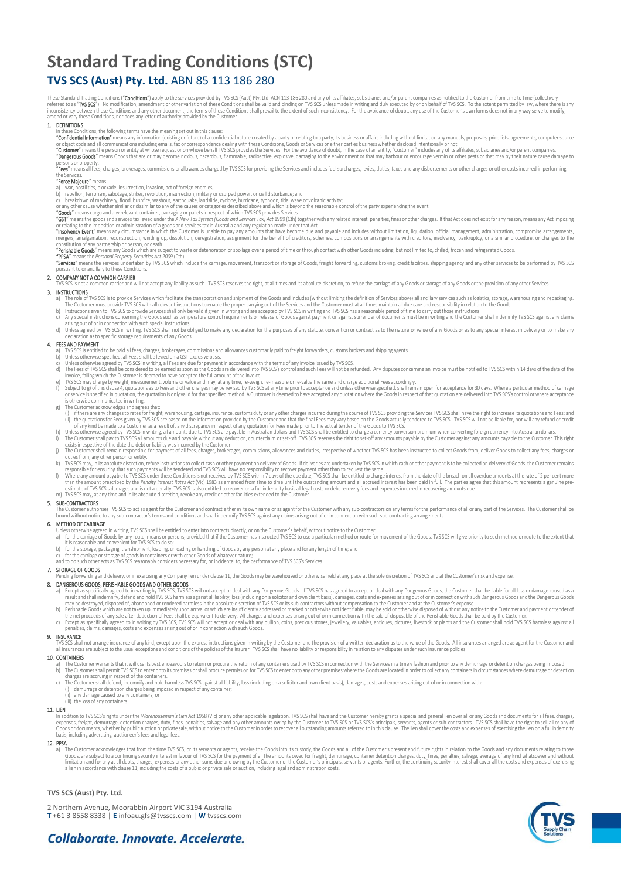# **Standard Trading Conditions (STC) TVS SCS (Aust) Pty. Ltd.** ABN 85 113 186 280

These Standard Trading Conditions ("**Conditions**") apply to the services provided by TVS SCS (Aust) Pty. Ltd. ACN 113 186 280 and any of its affiliates, subsidiares and/or parent companies as notified to the Customer from

1. DENTITIONS<br>In these Conditions, the following terms have the meaning set out in this clause:<br>"Confidential Information" means any information (existing or future) of a confidential nature created by a party or relating

persons or property.<br>"**Fees**" means all fees, charges, brokerages, commissions or allowances charged by TVS SCS for providing the Services and includes fuel surcharges, levies, duties, taxes and any disbursements or other

## "Force Majeure" mea

"**Force Majeure**" means:<br>a) war, hostlities, blockade, insurrection, invasion, act of foreign enemies;<br>b) rebellion, terrorism, sabotage, strikes, revolution, insurrection, military or usurped power, or civil disturbance;

or any other cause whether smilar or dissmilar to any of the causes or categones described above and which is beyond the reasonable control of the party experiencing the event.<br>"GOT" means the goods and services tax levied

constitution of any partnership or person, or death.<br>"Perishable Goods" means any Goods which are subject to waste or deterioration or spoilage over a period of time or through contact with other Goods including, but not l

### 2. COMPANY NOT A COMMON CARRIER

.<br>will not accept any liability as such. TVS SCS reserves the right, at all times and its absolute discretion, to refuse the carriage of any Goods or storage of any Goods or the provision of any other Services.

### 3. INSTRUCTIONS

- a) The role of IVS SCS is to provide Services which facilitate the transportation and shipment of the Goods and includes (without limiting the definition of Services above) all ancillary services such as logistics, storage
- arising out of or in connection with such special instructions
- d) Unless agreed by IVS SCS in writing, IVS SCS shall not be obliged to make any declaration for the purposes of any statute, convention or contract as to the nature or value of any Goods or as to any special interest in d

- 
- **4. EES AND PAYMENT**<br>a) TVS SCS is entitled to be paid all fress, charges, brokerages, commissions and allowances customarily paid to freight forwarders, customs brokers and shipping agents.<br>b) Unless otherwise agreed by T
	-
	- involce, failing which the Customer is deemed to have accepted the full amount of the involce. "You sucknow that informed the same and charge additional Fees accordingly.<br>(PVS SCS may charge by weight, measurement, volume
	-
	- (i) if there are any changes to rate for freight, warehousing, cartage, insurance, customs duly or any other charges incurred during the course of TVS SCS providing the Services TVS SCS shall have the right to increase its
	-
	-
	-
	-
	- responsible to rensume that such againments will be tendered and I VS SCS within 7 days of the due ate, TVS SCS shall be entitled to charge interest from the date of the breach on all overdue amounts at the rate of 2 per c

### 5. SUB-CONTRACTORS

The Customer authorises TVS SCS to act as agent for the Customer and contract either in its own name or as agent for the Customer with any sub-contractors on any terms for the performance of all or any part of the Services

- 
- 6. METHOD OF CARRIAGE<br>Unless otherwise agreed in writing, TVS SCS shall be entitled to enter into contracts directly, or on the Customer's behalf, without notice to the Customer:<br>a) for the carriage of Goods by any route,
- 
- b) tor the storage, packaging, transhipment, loading, unloading or handling of Goods by any person at any place and for any length of time; and<br>c) for the carriage or storage of goods in containers or with other Goods of w

### 7. STORAGE OF GOODS

.<br>And delivery, or in exercising any Company lien under clause 11, the Goods may be warehoused or otherwise held at any place at the sole discretion of TVS SCS and at the Customer's risk and expense.

- 8. DANGEROUS GOODS, PERSIMBLE GOODS AND OTHER GOODS AND THE SOLUTION OF SUCSIDE TO THE SOLUTION OF SUCSIDE AND THE SOLUTION OF SUCSIDE AND THE SOLUTION OF SUCSIDE AND THE SOLUTION OF SUCSIDE TO THE SOLUTION OF SUCSIDE AND
- 
- penalties, claims, damages, costs and expenses arising out of or in connection with such Goods.

## 9. INSURANCE

TVS SCS shall not arrange insurance of any kind, except upon the express instructions given in writing by the Customer and the provision of a written declaration as to the value of the Goods. All insurances arranged are as

### 10. CONTAINERS

- a) The Customer warrants that it will use its best endeavours to return or procure the return of any containers used by TVS SCS in connection with the Services in a timely fashion and prior to any demurrage or detention ch
- 
- 
- any damage caused to any containers; or (iii) the loss of any containers.

### 11. LIEN

**ack**<br>n addition to TVS SCS's rights under the *Warehouseman's Lien Act* 1958 (Vic) or any other applicable legislation, TVS SCS shall have and the Customer hereby grants a special and general lien over all or any Goods an expenses, treight, demurrage, detention charges, duty, fines, penalties, salvage and any other amounts owing by the Customer to TVS SCS or TVS SCS's principals, servants, agents or sub-contractors. TVS SCS shall have the r basis, including advertising, auctioneer's fees and legal fees.

**12. PPSA**<br>  $\frac{1}{2}$  The Custom a) The Customer acknowledges that from the time TVS SCS, or its servants or agents, receive the Goods into its custody, the Goods and all of the Customer's present and future rights in relation to the Goods and any documen

### **TVS SCS (Aust) Pty. Ltd.**

2 Northern Avenue, Moorabbin Airport VIC 3194 Australia **T** +61 3 8558 8338 | **E** infoau.gfs@tvsscs.com | **W** tvsscs.com



# Collaborate, Innovate, Accelerate,